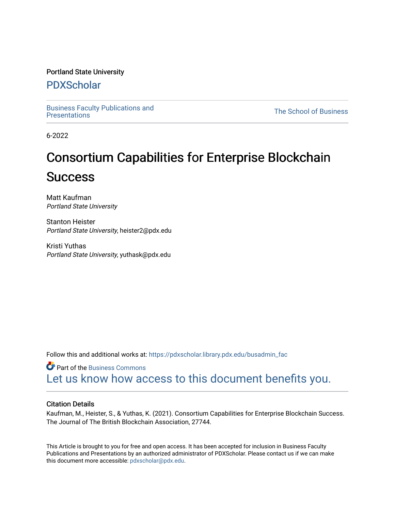# Portland State University

# [PDXScholar](https://pdxscholar.library.pdx.edu/)

[Business Faculty Publications and](https://pdxscholar.library.pdx.edu/busadmin_fac) 

**The School of Business** 

6-2022

# Consortium Capabilities for Enterprise Blockchain **Success**

Matt Kaufman Portland State University

Stanton Heister Portland State University, heister2@pdx.edu

Kristi Yuthas Portland State University, yuthask@pdx.edu

Follow this and additional works at: [https://pdxscholar.library.pdx.edu/busadmin\\_fac](https://pdxscholar.library.pdx.edu/busadmin_fac?utm_source=pdxscholar.library.pdx.edu%2Fbusadmin_fac%2F266&utm_medium=PDF&utm_campaign=PDFCoverPages) 

**Part of the [Business Commons](https://network.bepress.com/hgg/discipline/622?utm_source=pdxscholar.library.pdx.edu%2Fbusadmin_fac%2F266&utm_medium=PDF&utm_campaign=PDFCoverPages)** [Let us know how access to this document benefits you.](http://library.pdx.edu/services/pdxscholar-services/pdxscholar-feedback/?ref=https://pdxscholar.library.pdx.edu/busadmin_fac/266) 

# Citation Details

Kaufman, M., Heister, S., & Yuthas, K. (2021). Consortium Capabilities for Enterprise Blockchain Success. The Journal of The British Blockchain Association, 27744.

This Article is brought to you for free and open access. It has been accepted for inclusion in Business Faculty Publications and Presentations by an authorized administrator of PDXScholar. Please contact us if we can make this document more accessible: [pdxscholar@pdx.edu.](mailto:pdxscholar@pdx.edu)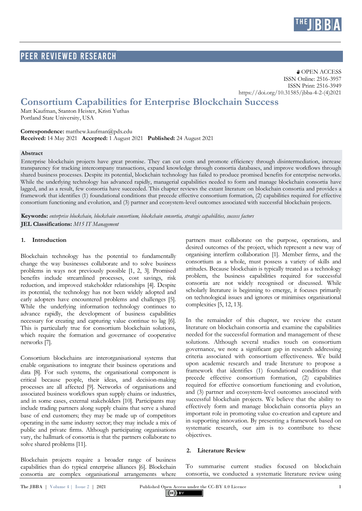

# PEER Reviewed RESEARCH

**a** OPEN ACCESS ISSN Online: 2516-3957 ISSN Print: 2516-3949 https://doi.org/10.31585/jbba-4-2-(4)2021

# **Consortium Capabilities for Enterprise Blockchain Success**

Matt Kaufman, Stanton Heister, Kristi Yuthas Portland State University, USA

**Correspondence:** matthew.kaufman@pdx.edu **Received:** 14 May 2021 **Accepted:** 1 August 2021 **Published:** 24 August 2021

#### **Abstract**

Enterprise blockchain projects have great promise. They can cut costs and promote efficiency through disintermediation, increase transparency for tracking intercompany transactions, expand knowledge through consortia databases, and improve workflows through shared business processes. Despite its potential, blockchain technology has failed to produce promised benefits for enterprise networks. While the underlying technology has advanced rapidly, managerial capabilities needed to form and manage blockchain consortia have lagged, and as a result, few consortia have succeeded. This chapter reviews the extant literature on blockchain consortia and provides a framework that identifies (1) foundational conditions that precede effective consortium formation, (2) capabilities required for effective consortium functioning and evolution, and (3) partner and ecosystem-level outcomes associated with successful blockchain projects.

**Keywords:** *enterprise blockchain, blockchain consortium, blockchain consortia, strategic capabilities, success factors* **JEL Classifications:** *M15 IT Management*

#### **1. Introduction**

Blockchain technology has the potential to fundamentally change the way businesses collaborate and to solve business problems in ways not previously possible [1, 2, 3]. Promised benefits include streamlined processes, cost savings, risk reduction, and improved stakeholder relationships [4]. Despite its potential, the technology has not been widely adopted and early adopters have encountered problems and challenges [5]. While the underlying information technology continues to advance rapidly, the development of business capabilities necessary for creating and capturing value continue to lag [6]. This is particularly true for consortium blockchain solutions, which require the formation and governance of cooperative networks [7].

Consortium blockchains are interorganisational systems that enable organisations to integrate their business operations and data [8]. For such systems, the organisational component is critical because people, their ideas, and decision-making processes are all affected [9]. Networks of organisations and associated business workflows span supply chains or industries, and in some cases, external stakeholders [10]. Participants may include trading partners along supply chains that serve a shared base of end customers; they may be made up of competitors operating in the same industry sector; they may include a mix of public and private firms. Although participating organisations vary, the hallmark of consortia is that the partners collaborate to solve shared problems [11].

Blockchain projects require a broader range of business capabilities than do typical enterprise alliances [6]. Blockchain consortia are complex organisational arrangements where

partners must collaborate on the purpose, operations, and desired outcomes of the project, which represent a new way of organising interfirm collaboration [1]. Member firms, and the consortium as a whole, must possess a variety of skills and attitudes. Because blockchain is typically treated as a technology problem, the business capabilities required for successful consortia are not widely recognised or discussed. While scholarly literature is beginning to emerge, it focuses primarily on technological issues and ignores or minimises organisational complexities [5, 12, 13].

In the remainder of this chapter, we review the extant literature on blockchain consortia and examine the capabilities needed for the successful formation and management of these solutions. Although several studies touch on consortium governance, we note a significant gap in research addressing criteria associated with consortium effectiveness. We build upon academic research and trade literature to propose a framework that identifies (1) foundational conditions that precede effective consortium formation, (2) capabilities required for effective consortium functioning and evolution, and (3) partner and ecosystem-level outcomes associated with successful blockchain projects. We believe that the ability to effectively form and manage blockchain consortia plays an important role in promoting value co-creation and capture and in supporting innovation. By presenting a framework based on systematic research, our aim is to contribute to these objectives.

#### **2. Literature Review**

To summarise current studies focused on blockchain consortia, we conducted a systematic literature review using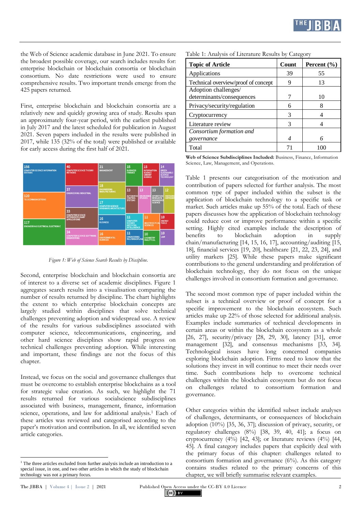

the Web of Science academic database in June 2021. To ensure the broadest possible coverage, our search includes results for: enterprise blockchain or blockchain consortia or blockchain consortium. No date restrictions were used to ensure comprehensive results. Two important trends emerge from the 425 papers returned.

First, enterprise blockchain and blockchain consortia are a relatively new and quickly growing area of study. Results span an approximately four-year period, with the earliest published in July 2017 and the latest scheduled for publication in August 2021. Seven papers included in the results were published in 2017, while 135 (32% of the total) were published or available for early access during the first half of 2021.

| 156<br><b>COMPUTER SCIENCE INFORMATION</b><br><b>SYSTEMS</b> | 40<br><b>COMPUTER SCIENCE THEORY</b><br><b>METHODS</b>                     | 21<br><b>MANAGEMENT</b>                                       | 15<br><b>BUSINESS</b><br><b>FINANCE</b>                                             | 15                                                                        | <b>INFORMATION</b><br><b>SCIENCE</b><br>LIBRARY<br><b>SCIENCE</b> |                                          | 14<br><b>GREEN</b><br><b>SUSTAINABLE</b><br><b>SCIENCE</b><br><b>TECHNOLOGY</b> |  |
|--------------------------------------------------------------|----------------------------------------------------------------------------|---------------------------------------------------------------|-------------------------------------------------------------------------------------|---------------------------------------------------------------------------|-------------------------------------------------------------------|------------------------------------------|---------------------------------------------------------------------------------|--|
| 120<br><b>TELECOMMUNICATIONS</b>                             | 37<br><b>ENGINEERING INDUSTRIAL</b>                                        | 18<br><b>ENGINEERING</b><br><b>MANUFACTURING</b>              | 13<br>13<br><b>AUTOMATIO</b><br><b>CONTROL</b>                                      | 13<br>ENVIRONME<br><b>OPERATION:</b><br><b>STUDIES</b><br><b>RESEARCH</b> |                                                                   | 12<br><b>INSTRUME</b><br><b>INSTRUME</b> |                                                                                 |  |
|                                                              | 33                                                                         | 17<br><b>COMPUTER SCIENCE</b><br><b>HARDWARE ARCHITECTURE</b> | <b>SYSTEMS</b>                                                                      |                                                                           | <b>MANAGEMEN</b><br><b>SCIENCE</b>                                |                                          |                                                                                 |  |
| 117<br><b>ENGINEERING ELECTRICAL ELECTRONIC</b>              | <b>COMPUTER SCIENCE</b><br><b>INTERDISCIPLINARY</b><br><b>APPLICATIONS</b> | 16<br><b>BUSINESS</b>                                         | 11<br><b>COMPUTER</b><br><b>SCIENCE</b><br><b>ARTIFICIAL</b><br><b>INTELLIGENCE</b> | 11                                                                        | <b>MULTIDISCIPLIN</b><br><b>SCIENCES</b>                          |                                          | 10<br><b>ENERGY</b><br><b>FUELS</b>                                             |  |
|                                                              | 24<br><b>COMPUTER SCIENCE SOFTWARE</b><br><b>ENGINEERING</b>               | 16<br><b>ENVIRONMENTAL</b><br><b>SCIENCES</b>                 | 11<br><b>ENGINEERING</b><br><b>MULTIDISCIPLINA</b>                                  | 10<br><b>CHEMISTRY</b><br><b>ANALYTICAL</b>                               |                                                                   | 10<br>LAW                                |                                                                                 |  |

*Figure 1: Web of Science Search Results by Discipline.*

Second, enterprise blockchain and blockchain consortia are of interest to a diverse set of academic disciplines. Figure 1 aggregates search results into a visualisation comparing the number of results returned by discipline. The chart highlights the extent to which enterprise blockchain concepts are largely studied within disciplines that solve technical challenges preventing adoption and widespread use. A review of the results for various subdisciplines associated with computer science, telecommunications, engineering, and other hard science disciplines show rapid progress on technical challenges preventing adoption. While interesting and important, these findings are not the focus of this chapter.

Instead, we focus on the social and governance challenges that must be overcome to establish enterprise blockchains as a tool for strategic value creation. As such, we highlight the 71 results returned for various socialscience subdisciplines associated with business, management, finance, information science, operations, and law for additional analysis.<sup>1</sup> Each of these articles was reviewed and categorised according to the paper's motivation and contribution. In all, we identified seven article categories.

Table 1: Analysis of Literature Results by Category

| <b>Topic of Article</b>                           | Count | Percent $(\% )$ |  |  |
|---------------------------------------------------|-------|-----------------|--|--|
| Applications                                      | 39    | 55              |  |  |
| Technical overview/proof of concept               |       | 13              |  |  |
| Adoption challenges/<br>determinants/consequences |       | 10              |  |  |
| Privacy/security/regulation                       | 6     |                 |  |  |
| Cryptocurrency                                    | 3     |                 |  |  |
| Literature review                                 | 3     |                 |  |  |
| Consortium formation and                          |       |                 |  |  |
| governance                                        |       |                 |  |  |
| Total                                             |       |                 |  |  |

**Web of Science Subdisciplines Included:** Business, Finance, Information Science, Law, Management, and Operations.

Table 1 presents our categorisation of the motivation and contribution of papers selected for further analysis. The most common type of paper included within the subset is the application of blockchain technology to a specific task or market. Such articles make up 55% of the total. Each of these papers discusses how the application of blockchain technology could reduce cost or improve performance within a specific setting. Highly cited examples include the description of benefits to blockchain adoption in supply to blockchain adoption in supply chain/manufacturing [14, 15, 16, 17], accounting/auditing [15, 18], financial services [19, 20], healthcare [21, 22, 23, 24], and utility markets [25]. While these papers make significant contributions to the general understanding and proliferation of blockchain technology, they do not focus on the unique challenges involved in consortium formation and governance.

The second most common type of paper included within the subset is a technical overview or proof of concept for a specific improvement to the blockchain ecosystem. Such articles make up 22% of those selected for additional analysis. Examples include summaries of technical developments in certain areas or within the blockchain ecosystem as a whole [26, 27], security/privacy [28, 29, 30], latency [31], error management [32], and consensus mechanisms [33, 34]. Technological issues have long concerned companies exploring blockchain adoption. Firms need to know that the solutions they invest in will continue to meet their needs over time. Such contributions help to overcome technical challenges within the blockchain ecosystem but do not focus on challenges related to consortium formation and governance.

Other categories within the identified subset include analyses of challenges, determinants, or consequences of blockchain adoption (10%) [35, 36, 37]; discussion of privacy, security, or regulatory challenges (8%) [38, 39, 40, 41]; a focus on cryptocurrency  $(4\%)$  [42, 43]; or literature reviews  $(4\%)$  [44, 45]. A final category includes papers that explicitly deal with the primary focus of this chapter: challenges related to consortium formation and governance (6%). As this category contains studies related to the primary concerns of this chapter, we will briefly summarise relevant examples.

 $\overline{a}$ 

 $(cc)$  BY

 $1$ . The three articles excluded from further analysis include an introduction to a special issue, in one, and two other articles in which the study of blockchain technology was not a primary focus.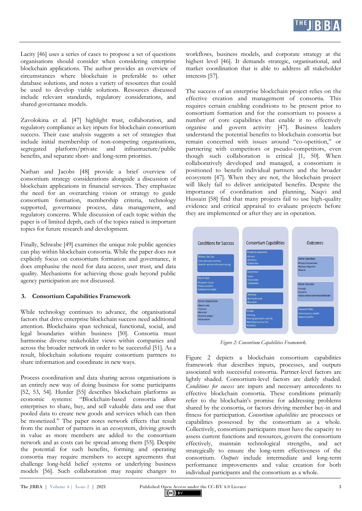

Lacity [46] uses a series of cases to propose a set of questions organisations should consider when considering enterprise blockchain applications. The author provides an overview of circumstances where blockchain is preferable to other database solutions, and notes a variety of resources that could be used to develop viable solutions. Resources discussed include relevant standards, regulatory considerations, and shared governance models.

Zavolokina et al. [47] highlight trust, collaboration, and regulatory compliance as key inputs for blockchain consortium success. Their case analysis suggests a set of strategies that include initial membership of non-competing organisations, infrastructure/public benefits, and separate short- and long-term priorities.

Nathan and Jacobs [48] provide a brief overview of consortium strategy considerations alongside a discussion of blockchain applications in financial services. They emphasize the need for an overarching vision or strategy to guide consortium formation, membership criteria, technology supported, governance process, data management, and regulatory concerns. While discussion of each topic within the paper is of limited depth, each of the topics raised is important topics for future research and development.

Finally, Schwabe [49] examines the unique role public agencies can play within blockchain consortia. While the paper does not explicitly focus on consortium formation and governance, it does emphasise the need for data access, user trust, and data quality. Mechanisms for achieving those goals beyond public agency participation are not discussed.

#### **3. Consortium Capabilities Framework**

While technology continues to advance, the organisational factors that drive enterprise blockchain success need additional attention. Blockchains span technical, functional, social, and legal boundaries within business [50]. Consortia must harmonise diverse stakeholder views within companies and across the broader network in order to be successful [51]. As a result, blockchain solutions require consortium partners to share information and coordinate in new ways.

Process coordination and data sharing across organisations is an entirely new way of doing business for some participants [52, 53, 54]. Hurder [55] describes blockchain platforms as economic systems: "Blockchain-based consortia allow enterprises to share, buy, and sell valuable data and use that pooled data to create new goods and services which can then be monetized." The paper notes network effects that result from the number of partners in an ecosystem, driving growth in value as more members are added to the consortium network and as costs can be spread among them [55]. Despite the potential for such benefits, forming and operating consortia may require members to accept agreements that challenge long-held belief systems or underlying business models [56]. Such collaboration may require changes to

workflows, business models, and corporate strategy at the highest level [46]. It demands strategic, organisational, and market coordination that is able to address all stakeholder interests [57].

The success of an enterprise blockchain project relies on the effective creation and management of consortia. This requires certain enabling conditions to be present prior to consortium formation and for the consortium to possess a number of core capabilities that enable it to effectively organise and govern activity [47]. Business leaders understand the potential benefits to blockchain consortia but remain concerned with issues around "co-opetition," or partnering with competitors or pseudo-competitors, even though such collaboration is critical [1, 50]. When collaboratively developed and managed, a consortium is positioned to benefit individual partners and the broader ecosystem [47]. When they are not, the blockchain project will likely fail to deliver anticipated benefits. Despite the importance of coordination and planning, Naqvi and Hussain [58] find that many projects fail to use high-quality evidence and critical appraisal to evaluate projects before they are implemented or after they are in operation.



*Figure 2: Consortium Capabilities Framework.*

Figure 2 depicts a blockchain consortium capabilities framework that describes inputs, processes, and outputs associated with successful consortia. Partner-level factors are lightly shaded. Consortium-level factors are darkly shaded. *Conditions for success* are inputs and necessary antecedents to effective blockchain consortia. These conditions primarily refer to the blockchain's promise for addressing problems shared by the consortia, or factors driving member buy-in and fitness for participation. *Consortium capabilities* are processes or capabilities possessed by the consortium as a whole. Collectively, consortium participants must have the capacity to assess current functions and resources, govern the consortium effectively, maintain technological strengths, and act strategically to ensure the long-term effectiveness of the consortium. *Outputs* include intermediate and long-term performance improvements and value creation for both individual participants and the consortium as a whole.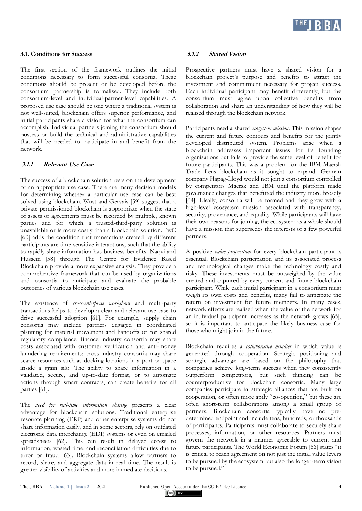

#### **3.1. Conditions for Success**

The first section of the framework outlines the initial conditions necessary to form successful consortia. These conditions should be present or be developed before the consortium partnership is formalised. They include both consortium-level and individual-partner-level capabilities. A proposed use case should be one where a traditional system is not well-suited, blockchain offers superior performance, and initial participants share a vision for what the consortium can accomplish. Individual partners joining the consortium should possess or build the technical and administrative capabilities that will be needed to participate in and benefit from the network.

## **3.1.1 Relevant Use Case**

The success of a blockchain solution rests on the development of an appropriate use case. There are many decision models for determining whether a particular use case can be best solved using blockchain. Wust and Gervais [59] suggest that a private permissioned blockchain is appropriate when the state of assets or agreements must be recorded by multiple, known parties and for which a trusted-third-party solution is unavailable or is more costly than a blockchain solution. PwC [60] adds the condition that transactions created by different participants are time-sensitive interactions, such that the ability to rapidly share information has business benefits. Naqvi and Hussein [58] through The Centre for Evidence Based Blockchain provide a more expansive analysis. They provide a comprehensive framework that can be used by organizations and consortia to anticipate and evaluate the probable outcomes of various blockchain use cases.

The existence of *cross-enterprise workflows* and multi-party transactions helps to develop a clear and relevant use case to drive successful adoption [61]. For example, supply chain consortia may include partners engaged in coordinated planning for material movement and handoffs or for shared regulatory compliance; finance industry consortia may share costs associated with customer verification and anti-money laundering requirements; cross-industry consortia may share scarce resources such as docking locations in a port or space inside a grain silo. The ability to share information in a validated, secure, and up-to-date format, or to automate actions through smart contracts, can create benefits for all parties [61].

The *need for real-time information sharing* presents a clear advantage for blockchain solutions. Traditional enterprise resource planning (ERP) and other enterprise systems do not share information easily, and in some sectors, rely on outdated electronic data interchange (EDI) systems or even on emailed spreadsheets [62]. This can result in delayed access to information, wasted time, and reconciliation difficulties due to error or fraud [63]. Blockchain systems allow partners to record, share, and aggregate data in real time. The result is greater visibility of activities and more immediate decisions.

#### **3.1.2 Shared Vision**

Prospective partners must have a shared vision for a blockchain project's purpose and benefits to attract the investment and commitment necessary for project success. Each individual participant may benefit differently, but the consortium must agree upon collective benefits from collaboration and share an understanding of how they will be realised through the blockchain network.

Participants need a shared *ecosystem mission*. This mission shapes the current and future contours and benefits for the jointly developed distributed system. Problems arise when a blockchain addresses important issues for its founding organisations but fails to provide the same level of benefit for future participants. This was a problem for the IBM Maersk Trade Lens blockchain as it sought to expand. German company Hapag-Lloyd would not join a consortium controlled by competitors Maersk and IBM until the platform made governance changes that benefitted the industry more broadly [64]. Ideally, consortia will be formed and they grow with a high-level ecosystem mission associated with transparency, security, provenance, and equality. While participants will have their own reasons for joining, the ecosystem as a whole should have a mission that supersedes the interests of a few powerful partners.

A positive *value proposition* for every blockchain participant is essential. Blockchain participation and its associated process and technological changes make the technology costly and risky. These investments must be outweighed by the value created and captured by every current and future blockchain participant. While each initial participant in a consortium must weigh its own costs and benefits, many fail to anticipate the return on investment for future members. In many cases, network effects are realised when the value of the network for an individual participant increases as the network grows [65], so it is important to anticipate the likely business case for those who might join in the future.

Blockchain requires a *collaborative mindset* in which value is generated through cooperation. Strategic positioning and strategic advantage are based on the philosophy that companies achieve long-term success when they consistently outperform competitors, but such thinking can be counterproductive for blockchain consortia. Many large companies participate in strategic alliances that are built on cooperation, or often more aptly "co-opetition," but these are often short-term collaborations among a small group of partners. Blockchain consortia typically have no predetermined endpoint and include tens, hundreds, or thousands of participants. Participants must collaborate to securely share processes, information, or other resources. Partners must govern the network in a manner agreeable to current and future participants. The World Economic Forum [66] states "it is critical to reach agreement on not just the initial value levers to be pursued by the ecosystem but also the longer-term vision to be pursued."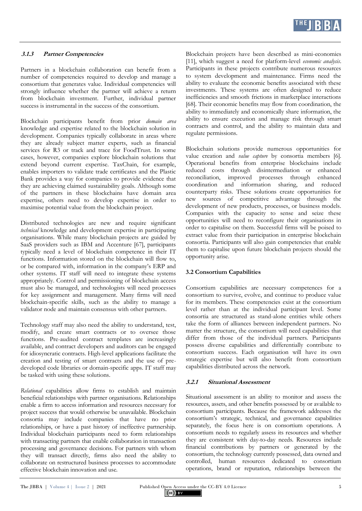

## **3.1.3 Partner Competencies**

Partners in a blockchain collaboration can benefit from a number of competencies required to develop and manage a consortium that generates value. Individual competencies will strongly influence whether the partner will achieve a return from blockchain investment. Further, individual partner success is instrumental in the success of the consortium.

Blockchain participants benefit from prior *domain area* knowledge and expertise related to the blockchain solution in development. Companies typically collaborate in areas where they are already subject matter experts, such as financial services for R3 or track and trace for FoodTrust. In some cases, however, companies explore blockchain solutions that extend beyond current expertise. TaxChain, for example, enables importers to validate trade certificates and the Plastic Bank provides a way for companies to provide evidence that they are achieving claimed sustainability goals. Although some of the partners in these blockchains have domain area expertise, others need to develop expertise in order to maximise potential value from the blockchain project.

Distributed technologies are new and require significant *technical* knowledge and development expertise in participating organisations. While many blockchain projects are guided by SaaS providers such as IBM and Accenture [67], participants typically need a level of blockchain competence in their IT functions. Information stored on the blockchain will flow to, or be compared with, information in the company's ERP and other systems. IT staff will need to integrate these systems appropriately. Control and permissioning of blockchain access must also be managed, and technologists will need processes for key assignment and management. Many firms will need blockchain-specific skills, such as the ability to manage a validator node and maintain consensus with other partners.

Technology staff may also need the ability to understand, test, modify, and create smart contracts or to oversee those functions. Pre-audited contract templates are increasingly available, and contract developers and auditors can be engaged for idiosyncratic contracts. High-level applications facilitate the creation and testing of smart contracts and the use of predeveloped code libraries or domain-specific apps. IT staff may be tasked with using these solutions.

*Relational* capabilities allow firms to establish and maintain beneficial relationships with partner organisations. Relationships enable a firm to access information and resources necessary for project success that would otherwise be unavailable. Blockchain consortia may include companies that have no prior relationships, or have a past history of ineffective partnership. Individual blockchain participants need to form relationships with transacting partners that enable collaboration in transaction processing and governance decisions. For partners with whom they will transact directly, firms also need the ability to collaborate on restructured business processes to accommodate effective blockchain innovation and use.

Blockchain projects have been described as mini-economies [11], which suggest a need for platform-level *economic analysis*. Participants in these projects contribute numerous resources to system development and maintenance. Firms need the ability to evaluate the economic benefits associated with these investments. These systems are often designed to reduce inefficiencies and smooth frictions in marketplace interactions [68]. Their economic benefits may flow from coordination, the ability to immediately and economically share information, the ability to ensure execution and manage risk through smart contracts and control, and the ability to maintain data and regulate permissions.

Blockchain solutions provide numerous opportunities for value creation and *value capture* by consortia members [6]. Operational benefits from enterprise blockchains include reduced costs through disintermediation or enhanced reconciliation, improved processes through enhanced coordination and information sharing, and reduced counterparty risks. These solutions create opportunities for new sources of competitive advantage through the development of new products, processes, or business models. Companies with the capacity to sense and seize these opportunities will need to reconfigure their organisations in order to capitalise on them. Successful firms will be poised to extract value from their participation in enterprise blockchain consortia. Participants will also gain competencies that enable them to capitalise upon future blockchain projects should the opportunity arise.

# **3.2 Consortium Capabilities**

Consortium capabilities are necessary competences for a consortium to survive, evolve, and continue to produce value for its members. These competencies exist at the consortium level rather than at the individual participant level. Some consortia are structured as stand-alone entities while others take the form of alliances between independent partners. No matter the structure, the consortium will need capabilities that differ from those of the individual partners. Participants possess diverse capabilities and differentially contribute to consortium success. Each organisation will have its own strategic expertise but will also benefit from consortium capabilities distributed across the network.

#### **3.2.1 Situational Assessment**

Situational assessment is an ability to monitor and assess the resources, assets, and other benefits possessed by or available to consortium participants. Because the framework addresses the consortium's strategic, technical, and governance capabilities separately, the focus here is on consortium operations. A consortium needs to regularly assess its resources and whether they are consistent with day-to-day needs. Resources include financial contributions by partners or generated by the consortium, the technology currently possessed, data owned and controlled, human resources dedicated to consortium operations, brand or reputation, relationships between the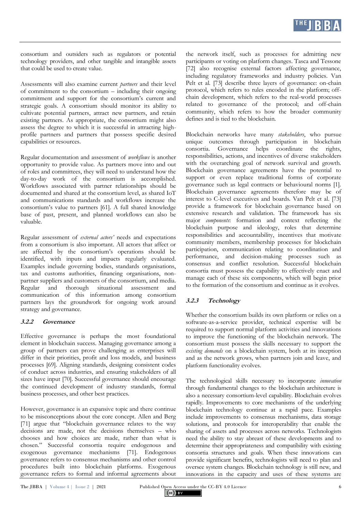

consortium and outsiders such as regulators or potential technology providers, and other tangible and intangible assets that could be used to create value.

Assessments will also examine current *partners* and their level of commitment to the consortium – including their ongoing commitment and support for the consortium's current and strategic goals. A consortium should monitor its ability to cultivate potential partners, attract new partners, and retain existing partners. As appropriate, the consortium might also assess the degree to which it is successful in attracting highprofile partners and partners that possess specific desired capabilities or resources.

Regular documentation and assessment of *workflows* is another opportunity to provide value. As partners move into and out of roles and committees, they will need to understand how the day-to-day work of the consortium is accomplished. Workflows associated with partner relationships should be documented and shared at the consortium level, as shared IoT and communications standards and workflows increase the consortium's value to partners [61]. A full shared knowledge base of past, present, and planned workflows can also be valuable.

Regular assessment of *external actors'* needs and expectations from a consortium is also important. All actors that affect or are affected by the consortium's operations should be identified, with inputs and impacts regularly evaluated. Examples include governing bodies, standards organisations, tax and customs authorities, financing organisations, nonpartner suppliers and customers of the consortium, and media. Regular and thorough situational assessment and communication of this information among consortium partners lays the groundwork for ongoing work around strategy and governance.

#### **3.2.2 Governance**

Effective governance is perhaps the most foundational element in blockchain success. Managing governance among a group of partners can prove challenging as enterprises will differ in their priorities, profit and loss models, and business processes [69]. Aligning standards, designing consistent codes of conduct across industries, and ensuring stakeholders of all sizes have input [70]. Successful governance should encourage the continued development of industry standards, formal business processes, and other best practices.

However, governance is an expansive topic and there continue to be misconceptions about the core concept. Allen and Berg [71] argue that "blockchain governance relates to the way decisions are made, not the decisions themselves – who chooses and how choices are made, rather than what is chosen." Successful consortia require endogenous and exogenous governance mechanisms [71]. Endogenous governance refers to consensus mechanisms and other control procedures built into blockchain platforms. Exogenous governance refers to formal and informal agreements about the network itself, such as processes for admitting new participants or voting on platform changes. Tasca and Tessone [72] also recognise external factors affecting governance, including regulatory frameworks and industry policies. Van Pelt et al. [73] describe three layers of governance: on-chain protocol, which refers to rules encoded in the platform; offchain development, which refers to the real-world processes related to governance of the protocol; and off-chain community, which refers to how the broader community defines and is tied to the blockchain.

Blockchain networks have many *stakeholders*, who pursue unique outcomes through participation in blockchain consortia. Governance helps coordinate the rights, responsibilities, actions, and incentives of diverse stakeholders with the overarching goal of network survival and growth. Blockchain governance agreements have the potential to support or even replace traditional forms of corporate governance such as legal contracts or behavioural norms [1]. Blockchain governance agreements therefore may be of interest to C-level executives and boards. Van Pelt et al. [73] provide a framework for blockchain governance based on extensive research and validation. The framework has six major *components*: formation and context reflecting the blockchain purpose and ideology, roles that determine responsibilities and accountability, incentives that motivate community members, membership processes for blockchain participation, communication relating to coordination and performance, and decision-making processes such as consensus and conflict resolution. Successful blockchain consortia must possess the capability to effectively enact and manage each of these six components, which will begin prior to the formation of the consortium and continue as it evolves.

#### **3.2.3 Technology**

Whether the consortium builds its own platform or relies on a software-as-a-service provider, technical expertise will be required to support normal platform activities and innovations to improve the functioning of the blockchain network. The consortium must possess the skills necessary to support the *existing demands* on a blockchain system, both at its inception and as the network grows, when partners join and leave, and platform functionality evolves.

The technological skills necessary to incorporate *innovation* through fundamental changes to the blockchain architecture is also a necessary consortium-level capability. Blockchain evolves rapidly. Improvements to core mechanisms of the underlying blockchain technology continue at a rapid pace. Examples include improvements to consensus mechanisms, data storage solutions, and protocols for interoperability that enable the sharing of assets and processes across networks. Technologists need the ability to stay abreast of these developments and to determine their appropriateness and compatibility with existing consortia structures and goals. When these innovations can provide significant benefits, technologists will need to plan and oversee system changes. Blockchain technology is still new, and innovations in the capacity and uses of these systems are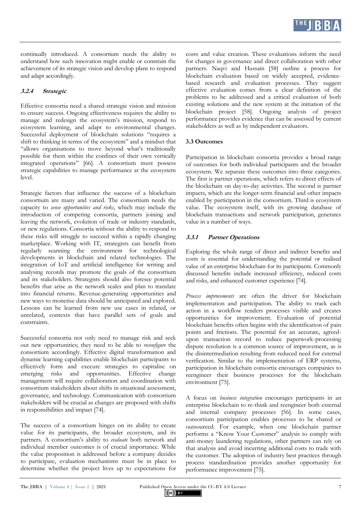

continually introduced. A consortium needs the ability to understand how such innovation might enable or constrain the achievement of its strategic vision and develop plans to respond and adapt accordingly.

# **3.2.4 Strategic**

Effective consortia need a shared strategic vision and mission to ensure success. Ongoing effectiveness requires the ability to manage and redesign the ecosystem's mission, respond to ecosystem learning, and adapt to environmental changes. Successful deployment of blockchain solutions "requires a shift to thinking in terms of the ecosystem" and a mindset that "allows organisations to move beyond what's traditionally possible for them within the confines of their own vertically integrated operations" [66]. A consortium must possess strategic capabilities to manage performance at the ecosystem level.

Strategic factors that influence the success of a blockchain consortium are many and varied. The consortium needs the capacity to *sense opportunities and risks*, which may include the introduction of competing consortia, partners joining and leaving the network, evolution of trade or industry standards, or new regulations. Consortia without the ability to respond to these risks will struggle to succeed within a rapidly changing marketplace. Working with IT, strategists can benefit from regularly scanning the environment for technological developments in blockchain and related technologies. The integration of IoT and artificial intelligence for writing and analysing records may promote the goals of the consortium and its stakeholders. Strategists should also foresee potential benefits that arise as the network scales and plan to translate into financial returns. Revenue-generating opportunities and new ways to monetise data should be anticipated and explored. Lessons can be learned from new use cases in related, or unrelated, contexts that have parallel sets of goals and constraints.

Successful consortia not only need to manage risk and seek out new opportunities; they need to be able to *reconfigure* the consortium accordingly. Effective digital transformation and dynamic learning capabilities enable blockchain participants to effectively form and execute strategies to capitalise on emerging risks and opportunities. Effective change management will require collaboration and coordination with consortium stakeholders about shifts in situational assessment, governance, and technology. Communication with consortium stakeholders will be crucial as changes are proposed with shifts in responsibilities and impact [74].

The success of a consortium hinges on its ability to create value for its participants, the broader ecosystem, and its partners. A consortium's ability to *evaluate* both network and individual member outcomes is of crucial importance. While the value proposition is addressed before a company decides to participate, evaluation mechanisms must be in place to determine whether the project lives up to expectations for costs and value creation. These evaluations inform the need for changes in governance and direct collaboration with other partners. Naqvi and Hussain [58] outline a process for blockchain evaluation based on widely accepted, evidencebased research and evaluation processes. They suggest effective evaluation comes from a clear definition of the problems to be addressed and a critical evaluation of both existing solutions and the new system at the initiation of the blockchain project [58]. Ongoing analysis of project performance provides evidence that can be assessed by current stakeholders as well as by independent evaluators.

#### **3.3 Outcomes**

Participation in blockchain consortia provides a broad range of outcomes for both individual participants and the broader ecosystem. We separate these outcomes into three categories. The first is partner operations, which refers to direct effects of the blockchain on day-to-day activities. The second is partner impacts, which are the longer-term financial and other impacts enabled by participation in the consortium. Third is ecosystem value. The ecosystem itself, with its growing database of blockchain transactions and network participation, generates value in a number of ways.

#### **3.3.1 Partner Operations**

Exploring the whole range of direct and indirect benefits and costs is essential for understanding the potential or realised value of an enterprise blockchain for its participants. Commonly discussed benefits include increased efficiency, reduced costs and risks, and enhanced customer experience [74].

*Process improvements* are often the driver for blockchain implementation and participation. The ability to track each action in a workflow renders processes visible and creates opportunities for improvement. Evaluation of potential blockchain benefits often begins with the identification of pain points and frictions. The potential for an accurate, agreedupon transaction record to reduce paperwork-processing dispute resolution is a common source of improvement, as is the disintermediation resulting from reduced need for external verification. Similar to the implementation of ERP systems, participation in blockchain consortia encourages companies to reengineer their business processes for the blockchain environment [75].

A focus on *business integration* encourages participants in an enterprise blockchain to re-think and reengineer both external and internal company processes [56]. In some cases, consortium participation enables processes to be shared or outsourced. For example, when one blockchain partner performs a "Know Your Customer" analysis to comply with anti-money laundering regulations, other partners can rely on that analysis and avoid incurring additional costs to trade with the customer. The adoption of industry best practices through process standardisation provides another opportunity for performance improvement [75].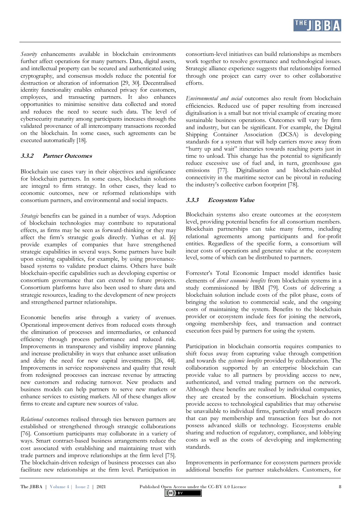*Security* enhancements available in blockchain environments further affect operations for many partners. Data, digital assets, and intellectual property can be secured and authenticated using cryptography, and consensus models reduce the potential for destruction or alteration of information [29, 30]. Decentralised identity functionality enables enhanced privacy for customers, employees, and transacting partners. It also enhances opportunities to minimise sensitive data collected and stored and reduces the need to secure such data. The level of cybersecurity maturity among participants increases through the validated provenance of all intercompany transactions recorded on the blockchain. In some cases, such agreements can be executed automatically [18].

### **3.3.2 Partner Outcomes**

Blockchain use cases vary in their objectives and significance for blockchain partners. In some cases, blockchain solutions are integral to firm strategy. In other cases, they lead to economic outcomes, new or reformed relationships with consortium partners, and environmental and social impacts.

*Strategic* benefits can be gained in a number of ways. Adoption of blockchain technologies may contribute to reputational effects, as firms may be seen as forward-thinking or they may affect the firm's strategic goals directly. Yuthas et al. [6] provide examples of companies that have strengthened strategic capabilities in several ways. Some partners have built upon existing capabilities, for example, by using provenancebased systems to validate product claims. Others have built blockchain-specific capabilities such as developing expertise or consortium governance that can extend to future projects. Consortium platforms have also been used to share data and strategic resources, leading to the development of new projects and strengthened partner relationships.

Economic benefits arise through a variety of avenues. Operational improvement derives from reduced costs through the elimination of processes and intermediaries, or enhanced efficiency through process performance and reduced risk. Improvements in transparency and visibility improve planning and increase predictability in ways that enhance asset utilisation and delay the need for new capital investments [26, 44]. Improvements in service responsiveness and quality that result from redesigned processes can increase revenue by attracting new customers and reducing turnover. New products and business models can help partners to serve new markets or enhance services to existing markets. All of these changes allow firms to create and capture new sources of value.

*Relational* outcomes realised through ties between partners are established or strengthened through strategic collaborations [76]. Consortium participants may collaborate in a variety of ways. Smart contract-based business arrangements reduce the cost associated with establishing and maintaining trust with trade partners and improve relationships at the firm level [75]. The blockchain-driven redesign of business processes can also facilitate new relationships at the firm level. Participation in consortium-level initiatives can build relationships as members work together to resolve governance and technological issues. Strategic alliance experience suggests that relationships formed through one project can carry over to other collaborative efforts.

*Environmental and social* outcomes also result from blockchain efficiencies. Reduced use of paper resulting from increased digitalisation is a small but not trivial example of creating more sustainable business operations. Outcomes will vary by firm and industry, but can be significant. For example, the Digital Shipping Container Association (DCSA) is developing standards for a system that will help carriers move away from "hurry up and wait" itineraries towards reaching ports just in time to unload. This change has the potential to significantly reduce excessive use of fuel and, in turn, greenhouse gas emissions [77]. Digitalisation and blockchain-enabled connectivity in the maritime sector can be pivotal in reducing the industry's collective carbon footprint [78].

# **3.3.3 Ecosystem Value**

Blockchain systems also create outcomes at the ecosystem level, providing potential benefits for all consortium members. Blockchain partnerships can take many forms, including relational agreements among participants and for-profit entities. Regardless of the specific form, a consortium will incur costs of operations and generate value at the ecosystem level, some of which can be distributed to partners.

Forrester's Total Economic Impact model identifies basic elements of *direct economic benefits* from blockchain systems in a study commissioned by IBM [79]. Costs of delivering a blockchain solution include costs of the pilot phase, costs of bringing the solution to commercial scale, and the ongoing costs of maintaining the system. Benefits to the blockchain provider or ecosystem include fees for joining the network, ongoing membership fees, and transaction and contract execution fees paid by partners for using the system.

Participation in blockchain consortia requires companies to shift focus away from capturing value through competition and towards the *systemic benefits* provided by collaboration. The collaboration supported by an enterprise blockchain can provide value to all partners by providing access to new, authenticated, and vetted trading partners on the network. Although these benefits are realised by individual companies, they are created by the consortium. Blockchain systems provide access to technological capabilities that may otherwise be unavailable to individual firms, particularly small producers that can pay membership and transaction fees but do not possess advanced skills or technology. Ecosystems enable sharing and reduction of regulatory, compliance, and lobbying costs as well as the costs of developing and implementing standards.

Improvements in performance for ecosystem partners provide additional benefits for partner stakeholders. Customers, for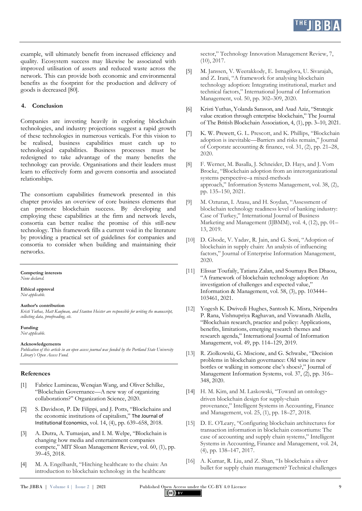example, will ultimately benefit from increased efficiency and quality. Ecosystem success may likewise be associated with improved utilisation of assets and reduced waste across the network. This can provide both economic and environmental benefits as the footprint for the production and delivery of goods is decreased [80].

#### **4. Conclusion**

Companies are investing heavily in exploring blockchain technologies, and industry projections suggest a rapid growth of these technologies in numerous verticals. For this vision to be realised, business capabilities must catch up to technological capabilities. Business processes must be redesigned to take advantage of the many benefits the technology can provide. Organisations and their leaders must learn to effectively form and govern consortia and associated relationships.

The consortium capabilities framework presented in this chapter provides an overview of core business elements that can promote blockchain success. By developing and employing these capabilities at the firm and network levels, consortia can better realise the promise of this still-new technology. This framework fills a current void in the literature by providing a practical set of guidelines for companies and consortia to consider when building and maintaining their networks.

#### **Competing interests**

*None declared.*

#### **Ethical approval** *Not applicable.*

**Author's contribution**

#### *Kristi Yuthas, Matt Kaufman, and Stanton Heister are responsible for writing the manuscript, collecting data, proofreading, etc.*

#### **Funding**

*Not applicable.*

#### **Acknowledgements**

*Publication of this article in an open access journal was funded by the Portland State University Library's Open Access Fund.*

#### **References**

- [1] Fabrice Lumineau, Wenqian Wang, and Oliver Schilke, "Blockchain Governance—A new way of organizing collaborations?" Organization Science, 2020.
- [2] S. Davidson, P. De Filippi, and J. Potts, "Blockchains and the economic institutions of capitalism," The Journal of Institutional Economics, vol. 14, (4), pp. 639–658, 2018.
- [3] A. Dutra, A. Tumasjan, and I. M. Welpe, "Blockchain is changing how media and entertainment companies compete," MIT Sloan Management Review, vol. 60, (1), pp. 39–45, 2018.
- [4] M. A. Engelhardt, "Hitching healthcare to the chain: An introduction to blockchain technology in the healthcare

sector," Technology Innovation Management Review, 7, (10), 2017.

- [5] M. Janssen, V. Weerakkody, E. Ismagilova, U. Sivarajah, and Z. Irani, "A framework for analysing blockchain technology adoption: Integrating institutional, market and technical factors," International Journal of Information Management, vol. 50, pp. 302–309, 2020.
- [6] Kristi Yuthas, Yolanda Sarason, and Asad Aziz, "Strategic value creation through enterprise blockchain," The Journal of The British Blockchain Association, 4, (1), pp. 3–10, 2021.
- [7] K. W. Prewett, G. L. Prescott, and K. Phillips, "Blockchain adoption is inevitable—Barriers and risks remain," Journal of Corporate accounting & finance, vol. 31, (2), pp. 21–28, 2020.
- [8] F. Werner, M. Basalla, J. Schneider, D. Hays, and J. Vom Brocke, "Blockchain adoption from an interorganizational systems perspective–a mixed-methods approach," Information Systems Management, vol. 38, (2), pp. 135–150, 2021.
- [9] M. Ozturan, I. Atasu, and H. Soydan, "Assessment of blockchain technology readiness level of banking industry: Case of Turkey," International Journal of Business Marketing and Management (IJBMM), vol. 4, (12), pp. 01– 13, 2019.
- [10] D. Ghode, V. Yadav, R. Jain, and G. Soni, "Adoption of blockchain in supply chain: An analysis of influencing factors," Journal of Enterprise Information Management, 2020.
- [11] Elissar Toufaily, Tatiana Zalan, and Soumaya Ben Dhaou, "A framework of blockchain technology adoption: An investigation of challenges and expected value," Information & Management, vol. 58, (3), pp. 103444– 103461, 2021.
- [12] Yogesh K. Dwivedi Hughes, Santosh K. Misra, Nripendra P. Rana, Vishnupriya Raghavan, and Viswanadh Akella, "Blockchain research, practice and policy: Applications, benefits, limitations, emerging research themes and research agenda," International Journal of Information Management, vol. 49, pp. 114–129, 2019.
- [13] R. Ziolkowski, G. Miscione, and G. Schwabe, "Decision problems in blockchain governance: Old wine in new bottles or walking in someone else's shoes?," Journal of Management Information Systems, vol. 37, (2), pp. 316– 348, 2020.
- [14] H. M. Kim, and M. Laskowski, "Toward an ontologydriven blockchain design for supply‐chain provenance," Intelligent Systems in Accounting, Finance and Management, vol. 25, (1), pp. 18–27, 2018.
- [15] D. E. O'Leary, "Configuring blockchain architectures for transaction information in blockchain consortiums: The case of accounting and supply chain systems," Intelligent Systems in Accounting, Finance and Management, vol. 24, (4), pp. 138–147, 2017.
- [16] A. Kumar, R. Liu, and Z. Shan, "Is blockchain a silver bullet for supply chain management? Technical challenges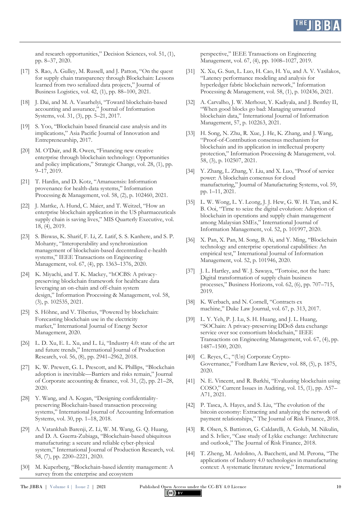

and research opportunities," Decision Sciences, vol. 51, (1), pp. 8–37, 2020.

- [17] S. Rao, A. Gulley, M. Russell, and J. Patton, "On the quest" for supply chain transparency through Blockchain: Lessons learned from two serialized data projects," Journal of Business Logistics, vol. 42, (1), pp. 88–100, 2021.
- [18] J. Dai, and M. A. Vasarhelyi, "Toward blockchain-based accounting and assurance," Journal of Information Systems, vol. 31, (3), pp. 5–21, 2017.
- [19] S. Yoo, "Blockchain based financial case analysis and its implications," Asia Pacific Journal of Innovation and Entrepreneurship, 2017.
- [20] M. O'Dair, and R. Owen, "Financing new creative enterprise through blockchain technology: Opportunities and policy implications," Strategic Change, vol. 28, (1), pp. 9–17, 2019.
- [21] T. Hardin, and D. Kotz, "Amanuensis: Information provenance for health-data systems," Information Processing & Management, vol. 58, (2), p. 102460, 2021.
- [22] J. Mattke, A. Hund, C. Maier, and T. Weitzel, "How an enterprise blockchain application in the US pharmaceuticals supply chain is saving lives," MIS Quarterly Executive, vol. 18, (4), 2019.
- [23] S. Biswas, K. Sharif, F. Li, Z. Latif, S. S. Kanhere, and S. P. Mohanty, "Interoperability and synchronization management of blockchain-based decentralized e-health systems," IEEE Transactions on Engineering Management, vol. 67, (4), pp. 1363–1376, 2020.
- [24] K. Miyachi, and T. K. Mackey, "hOCBS: A privacypreserving blockchain framework for healthcare data leveraging an on-chain and off-chain system design," Information Processing & Management, vol. 58, (3), p. 102535, 2021.
- [25] S. Höhne, and V. Tiberius, "Powered by blockchain: Forecasting blockchain use in the electricity market," International Journal of Energy Sector Management, 2020.
- [26] L. D. Xu, E. L. Xu, and L. Li, "Industry 4.0: state of the art and future trends," International Journal of Production Research, vol. 56, (8), pp. 2941–2962, 2018.
- [27] K. W. Prewett, G. L. Prescott, and K. Phillips, "Blockchain adoption is inevitable—Barriers and risks remain," Journal of Corporate accounting & finance, vol. 31, (2), pp. 21–28, 2020.
- [28] Y. Wang, and A. Kogan, "Designing confidentialitypreserving Blockchain-based transaction processing systems," International Journal of Accounting Information Systems, vol. 30, pp. 1–18, 2018.
- [29] A. Vatankhah Barenji, Z. Li, W. M. Wang, G. Q. Huang, and D. A. Guerra-Zubiaga, "Blockchain-based ubiquitous manufacturing: a secure and reliable cyber-physical system," International Journal of Production Research, vol. 58, (7), pp. 2200–2221, 2020.
- [30] M. Kuperberg, "Blockchain-based identity management: A survey from the enterprise and ecosystem

perspective," IEEE Transactions on Engineering Management, vol. 67, (4), pp. 1008–1027, 2019.

- [31] X. Xu, G. Sun, L. Luo, H. Cao, H. Yu, and A. V. Vasilakos, "Latency performance modeling and analysis for hyperledger fabric blockchain network," Information Processing & Management, vol. 58, (1), p. 102436, 2021.
- [32] A. Carvalho, J. W. Merhout, Y. Kadiyala, and J. Bentley II, "When good blocks go bad: Managing unwanted blockchain data," International Journal of Information Management, 57, p. 102263, 2021.
- [33] H. Song, N. Zhu, R. Xue, J. He, K. Zhang, and J. Wang, "Proof-of-Contribution consensus mechanism for blockchain and its application in intellectual property protection," Information Processing & Management, vol. 58, (3), p. 102507, 2021.
- [34] Y. Zhang, L. Zhang, Y. Liu, and X. Luo, "Proof of service power: A blockchain consensus for cloud manufacturing," Journal of Manufacturing Systems, vol. 59, pp. 1–11, 2021.
- [35] L. W. Wong, L. Y. Leong, J. J. Hew, G. W. H. Tan, and K. B. Ooi, "Time to seize the digital evolution: Adoption of blockchain in operations and supply chain management among Malaysian SMEs," International Journal of Information Management, vol. 52, p. 101997, 2020.
- [36] X. Pan, X. Pan, M. Song, B. Ai, and Y. Ming, "Blockchain technology and enterprise operational capabilities: An empirical test," International Journal of Information Management, vol. 52, p. 101946, 2020.
- [37] J. L. Hartley, and W. J. Sawaya, "Tortoise, not the hare: Digital transformation of supply chain business processes," Business Horizons, vol. 62, (6), pp. 707–715, 2019.
- [38] K. Werbach, and N. Cornell, "Contracts exmachine," Duke Law Journal, vol. 67, p. 313, 2017.
- [39] L. Y. Yeh, P. J. Lu, S. H. Huang, and J. L. Huang, "SOChain: A privacy-preserving DDoS data exchange service over soc consortium blockchain," IEEE Transactions on Engineering Management, vol. 67, (4), pp. 1487–1500, 2020.
- [40] C. Reyes, C., "(Un) Corporate Crypto-Governance," Fordham Law Review, vol. 88, (5), p. 1875, 2020.
- [41] N. E. Vincent, and R. Barkhi, "Evaluating blockchain using COSO," Current Issues in Auditing, vol. 15, (1), pp. A57– A71, 2021.
- [42] P. Tasca, A. Hayes, and S. Liu, "The evolution of the bitcoin economy: Extracting and analyzing the network of payment relationships," The Journal of Risk Finance, 2018.
- [43] R. Olsen, S. Battiston, G. Caldarelli, A. Golub, M. Nikulin, and S. Ivliev, "Case study of Lykke exchange: Architecture and outlook," The Journal of Risk Finance, 2018.
- [44] T. Zheng, M. Ardolino, A. Bacchetti, and M. Perona, "The applications of Industry 4.0 technologies in manufacturing context: A systematic literature review," International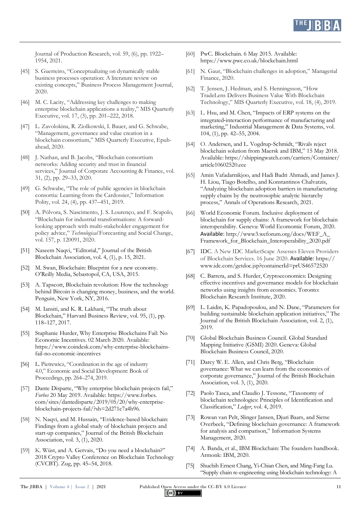

Journal of Production Research, vol. 59, (6), pp. 1922– 1954, 2021.

- [45] S. Guerreiro, "Conceptualizing on dynamically stable business processes operation: A literature review on existing concepts," Business Process Management Journal, 2020.
- [46] M. C. Lacity, "Addressing key challenges to making enterprise blockchain applications a reality," MIS Quarterly Executive, vol. 17, (3), pp. 201–222, 2018.
- [47] L. Zavolokina, R. Ziolkowski, I. Bauer, and G. Schwabe, "Management, governance and value creation in a blockchain consortium," MIS Quarterly Executive, Epubahead, 2020.
- [48] J. Nathan, and B. Jacobs, "Blockchain consortium networks: Adding security and trust in financial services," Journal of Corporate Accounting & Finance, vol. 31, (2), pp. 29–33, 2020.
- [49] G. Schwabe, "The role of public agencies in blockchain consortia: Learning from the Cardossier," Information Polity, vol. 24, (4), pp. 437–451, 2019.
- [50] A. Pólvora, S. Nascimento, J. S. Lourenço, and F. Scapolo, "Blockchain for industrial transformations: A forwardlooking approach with multi-stakeholder engagement for policy advice," *Technological* Forecasting and Social Change, vol. 157, p. 120091, 2020.
- [51] Naseem Naqvi, "Editorial," Journal of the British Blockchain Association, vol. 4, (1), p. 15, 2021.
- [52] M. Swan, Blockchain: Blueprint for a new economy. O'Reilly Media, Sebastopol, CA, USA, 2015.
- [53] A. Tapscott, Blockchain revolution: How the technology behind Bitcoin is changing money, business, and the world. Penguin, New York, NY, 2016.
- [54] M. Iansiti, and K. R. Lakhani, "The truth about Blockchain," Harvard Business Review, vol. 95, (1), pp. 118–127, 2017.
- [55] Staphanie Hurder, Why Enterprise Blockchains Fail: No Economic Incentives. 02 March 2020. Available: https://www.coindesk.com/why-enterprise-blockchainsfail-no-economic-incentives
- [56] L. Pietrewicz, "Coordination in the age of industry 4.0," Economic and Social Development: Book of Proceedings, pp. 264–274, 2019.
- [57] Dante Disparte, "Why enterprise blockchain projects fail," *Forbes* 20 May 2019. Available: https://www.forbes. com/sites/dantedisparte/2019/05/20/why-enterpriseblockchain-projects-fail/?sh=2d271c7a4b96.
- [58] N. Naqvi, and M. Hussain, "Evidence-based blockchain: Findings from a global study of blockchain projects and start-up companies," Journal of the British Blockchain Association, vol. 3, (1), 2020.
- [59] K. Wüst, and A. Gervais, "Do you need a blockchain?" 2018 Crypto Valley Conference on Blockchain Technology (CVCBT). Zug, pp. 45–54, 2018.
- [60] PwC. Blockchain. 6 May 2015. Available: https://www.pwc.co.uk/blockchain.html
- [61] N. Gaur, "Blockchain challenges in adoption," Managerial Finance, 2020.
- [62] T. Jensen, J. Hedman, and S. Henningsson, "How TradeLens Delivers Business Value With Blockchain Technology," MIS Quarterly Executive, vol. 18, (4), 2019.
- [63] L. Hsu, and M. Chen, "Impacts of ERP systems on the integrated‐interaction performance of manufacturing and marketing," Industrial Management & Data Systems, vol. 104, (1), pp. 42–55, 2004.
- [64] O. Andersen, and L. Vogdrup-Schmidt, "Rivals reject blockchain solution from Maersk and IBM," 15 May 2018. Available: https://shippingwatch.com/carriers/Container/ article10602520.ece
- [65] Amin Vafadarnikjoo, and Hadi Badri Ahmadi, and James J. H. Liou, Tiago Botelho, and Konstantinos Chalvatzis, "Analyzing blockchain adoption barriers in manufacturing supply chains by the neutrosophic analytic hierarchy process," Annals of Operations Research, 2021.
- [66] World Economic Forum. Inclusive deployment of blockchain for supply chains: A framework for blockchain interoperability. Geneva: World Ecomomic Forum, 2020. Available: http://www3.weforum.org/docs/WEF\_A\_ Framework\_for\_Blockchain\_Interoperability\_2020.pdf
- [67] IDC. A New IDC MarketScape Assesses Eleven Providers of Blockchain Services. 16 June 2020. Available: https:// www.idc.com/getdoc.jsp?containerId=prUS46572520
- [68] C. Barrera, and S. Hurder, Cryptoeconomics: Designing effective incentives and governance models for blockchain networks using insights from economics. Toronto: Blockchain Research Institute, 2020.
- [69] L. Laidin, K. Papadopoulou, and N. Dane, "Parameters for building sustainable blockchain application initiatives," The Journal of the British Blockchain Association, vol. 2, (1), 2019.
- [70] Global Blockchain Business Council. Global Standard Mapping Initiative (GSMI) 2020. Geneva: Global Blockchain Business Council, 2020.
- [71] Darcy W. E. Allen, and Chris Berg, "Blockchain governance: What we can learn from the economics of corporate governance," Journal of the British Blockchain Association, vol. 3, (1), 2020.
- [72] Paolo Tasca, and Claudio J. Tessone, "Taxonomy of blockchain technologies: Principles of Identification and Classification," *Ledger*, vol. 4, 2019.
- [73] Rowan van Pelt, Slinger Jansen, Djuri Baars, and Sietse Overbeek, "Defining blockchain governance: A framework for analysis and comparison," Information Systems Management, 2020.
- [74] A. Banda, et al., IBM Blockchain: The founders handbook. Armonk: IBM, 2020.
- [75] Shuchih Ernest Chang, Yi-Chian Chen, and Ming-Fang Lu. "Supply chain re-engineering using blockchain technology: A